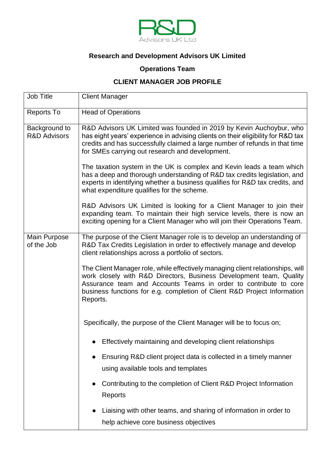

## **Research and Development Advisors UK Limited**

## **Operations Team**

## **CLIENT MANAGER JOB PROFILE**

| Job Title                                | <b>Client Manager</b>                                                                                                                                                                                                                                                                                             |
|------------------------------------------|-------------------------------------------------------------------------------------------------------------------------------------------------------------------------------------------------------------------------------------------------------------------------------------------------------------------|
| <b>Reports To</b>                        | <b>Head of Operations</b>                                                                                                                                                                                                                                                                                         |
| Background to<br><b>R&amp;D Advisors</b> | R&D Advisors UK Limited was founded in 2019 by Kevin Auchoybur, who<br>has eight years' experience in advising clients on their eligibility for R&D tax<br>credits and has successfully claimed a large number of refunds in that time<br>for SMEs carrying out research and development.                         |
|                                          | The taxation system in the UK is complex and Kevin leads a team which<br>has a deep and thorough understanding of R&D tax credits legislation, and<br>experts in identifying whether a business qualifies for R&D tax credits, and<br>what expenditure qualifies for the scheme.                                  |
|                                          | R&D Advisors UK Limited is looking for a Client Manager to join their<br>expanding team. To maintain their high service levels, there is now an<br>exciting opening for a Client Manager who will join their Operations Team.                                                                                     |
| Main Purpose<br>of the Job               | The purpose of the Client Manager role is to develop an understanding of<br>R&D Tax Credits Legislation in order to effectively manage and develop<br>client relationships across a portfolio of sectors.                                                                                                         |
|                                          | The Client Manager role, while effectively managing client relationships, will<br>work closely with R&D Directors, Business Development team, Quality<br>Assurance team and Accounts Teams in order to contribute to core<br>business functions for e.g. completion of Client R&D Project Information<br>Reports. |
|                                          | Specifically, the purpose of the Client Manager will be to focus on;                                                                                                                                                                                                                                              |
|                                          | Effectively maintaining and developing client relationships                                                                                                                                                                                                                                                       |
|                                          | Ensuring R&D client project data is collected in a timely manner<br>using available tools and templates                                                                                                                                                                                                           |
|                                          | Contributing to the completion of Client R&D Project Information<br>$\bullet$<br>Reports                                                                                                                                                                                                                          |
|                                          | Liaising with other teams, and sharing of information in order to<br>$\bullet$<br>help achieve core business objectives                                                                                                                                                                                           |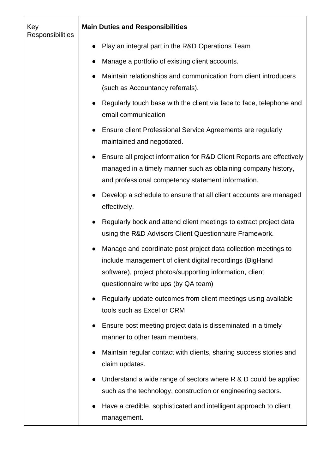| Key<br>Responsibilities | <b>Main Duties and Responsibilities</b>                                                                                                                                                                                        |
|-------------------------|--------------------------------------------------------------------------------------------------------------------------------------------------------------------------------------------------------------------------------|
|                         | Play an integral part in the R&D Operations Team                                                                                                                                                                               |
|                         | Manage a portfolio of existing client accounts.                                                                                                                                                                                |
|                         | Maintain relationships and communication from client introducers<br>(such as Accountancy referrals).                                                                                                                           |
|                         | Regularly touch base with the client via face to face, telephone and<br>email communication                                                                                                                                    |
|                         | Ensure client Professional Service Agreements are regularly<br>maintained and negotiated.                                                                                                                                      |
|                         | Ensure all project information for R&D Client Reports are effectively<br>managed in a timely manner such as obtaining company history,<br>and professional competency statement information.                                   |
|                         | Develop a schedule to ensure that all client accounts are managed<br>effectively.                                                                                                                                              |
|                         | Regularly book and attend client meetings to extract project data<br>using the R&D Advisors Client Questionnaire Framework.                                                                                                    |
|                         | Manage and coordinate post project data collection meetings to<br>include management of client digital recordings (BigHand<br>software), project photos/supporting information, client<br>questionnaire write ups (by QA team) |
|                         | Regularly update outcomes from client meetings using available<br>$\bullet$<br>tools such as Excel or CRM                                                                                                                      |
|                         | Ensure post meeting project data is disseminated in a timely<br>$\bullet$<br>manner to other team members.                                                                                                                     |
|                         | Maintain regular contact with clients, sharing success stories and<br>$\bullet$<br>claim updates.                                                                                                                              |
|                         | Understand a wide range of sectors where R & D could be applied<br>$\bullet$<br>such as the technology, construction or engineering sectors.                                                                                   |
|                         | Have a credible, sophisticated and intelligent approach to client<br>$\bullet$<br>management.                                                                                                                                  |